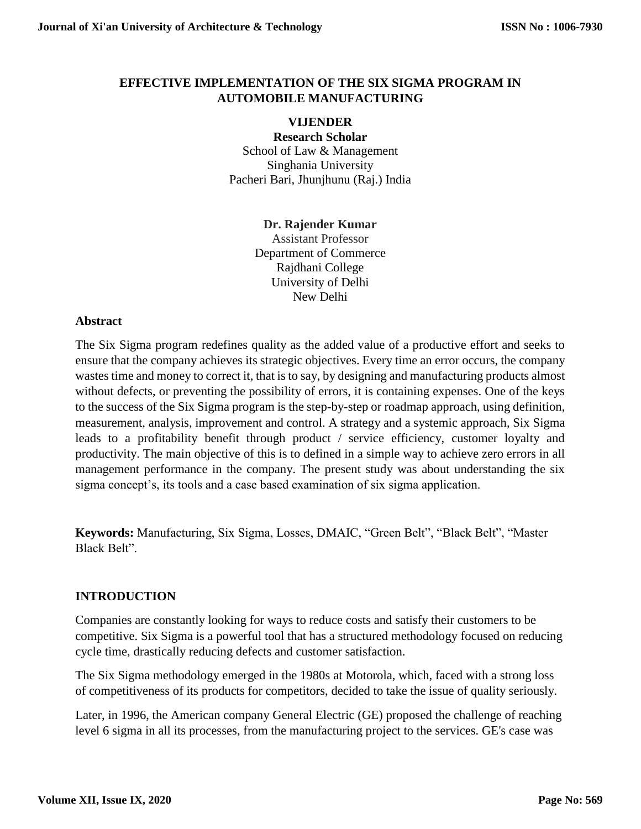#### **EFFECTIVE IMPLEMENTATION OF THE SIX SIGMA PROGRAM IN AUTOMOBILE MANUFACTURING**

#### **VIJENDER**

**Research Scholar** School of Law & Management Singhania University Pacheri Bari, Jhunjhunu (Raj.) India

#### **Dr. Rajender Kumar**

Assistant Professor Department of Commerce Rajdhani College University of Delhi New Delhi

#### **Abstract**

The Six Sigma program redefines quality as the added value of a productive effort and seeks to ensure that the company achieves its strategic objectives. Every time an error occurs, the company wastes time and money to correct it, that is to say, by designing and manufacturing products almost without defects, or preventing the possibility of errors, it is containing expenses. One of the keys to the success of the Six Sigma program is the step-by-step or roadmap approach, using definition, measurement, analysis, improvement and control. A strategy and a systemic approach, Six Sigma leads to a profitability benefit through product / service efficiency, customer loyalty and productivity. The main objective of this is to defined in a simple way to achieve zero errors in all management performance in the company. The present study was about understanding the six sigma concept's, its tools and a case based examination of six sigma application.

**Keywords:** Manufacturing, Six Sigma, Losses, DMAIC, "Green Belt", "Black Belt", "Master Black Belt".

#### **INTRODUCTION**

Companies are constantly looking for ways to reduce costs and satisfy their customers to be competitive. Six Sigma is a powerful tool that has a structured methodology focused on reducing cycle time, drastically reducing defects and customer satisfaction.

The Six Sigma methodology emerged in the 1980s at Motorola, which, faced with a strong loss of competitiveness of its products for competitors, decided to take the issue of quality seriously.

Later, in 1996, the American company General Electric (GE) proposed the challenge of reaching level 6 sigma in all its processes, from the manufacturing project to the services. GE's case was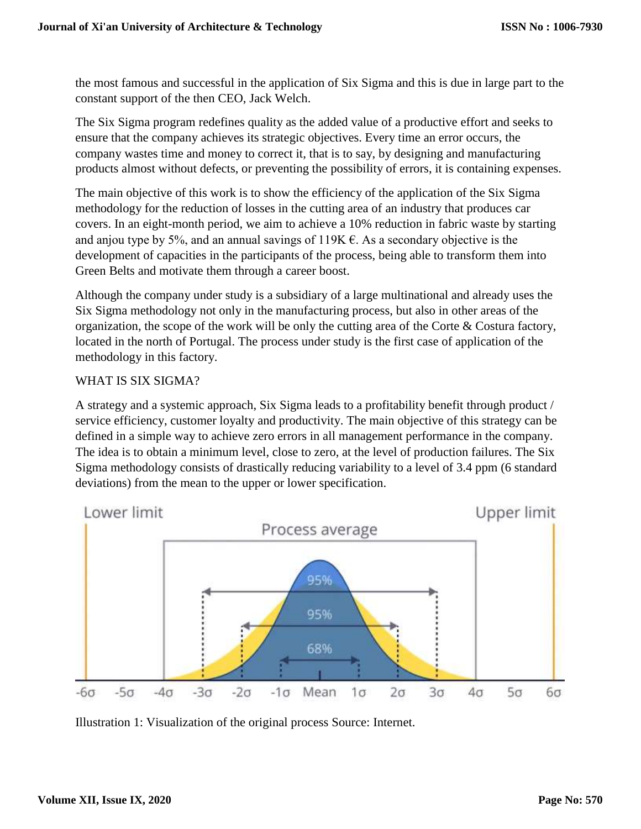the most famous and successful in the application of Six Sigma and this is due in large part to the constant support of the then CEO, Jack Welch.

The Six Sigma program redefines quality as the added value of a productive effort and seeks to ensure that the company achieves its strategic objectives. Every time an error occurs, the company wastes time and money to correct it, that is to say, by designing and manufacturing products almost without defects, or preventing the possibility of errors, it is containing expenses.

The main objective of this work is to show the efficiency of the application of the Six Sigma methodology for the reduction of losses in the cutting area of an industry that produces car covers. In an eight-month period, we aim to achieve a 10% reduction in fabric waste by starting and anjou type by 5%, and an annual savings of  $119K \epsilon$ . As a secondary objective is the development of capacities in the participants of the process, being able to transform them into Green Belts and motivate them through a career boost.

Although the company under study is a subsidiary of a large multinational and already uses the Six Sigma methodology not only in the manufacturing process, but also in other areas of the organization, the scope of the work will be only the cutting area of the Corte & Costura factory, located in the north of Portugal. The process under study is the first case of application of the methodology in this factory.

### WHAT IS SIX SIGMA?

A strategy and a systemic approach, Six Sigma leads to a profitability benefit through product / service efficiency, customer loyalty and productivity. The main objective of this strategy can be defined in a simple way to achieve zero errors in all management performance in the company. The idea is to obtain a minimum level, close to zero, at the level of production failures. The Six Sigma methodology consists of drastically reducing variability to a level of 3.4 ppm (6 standard deviations) from the mean to the upper or lower specification.



Illustration 1: Visualization of the original process Source: Internet.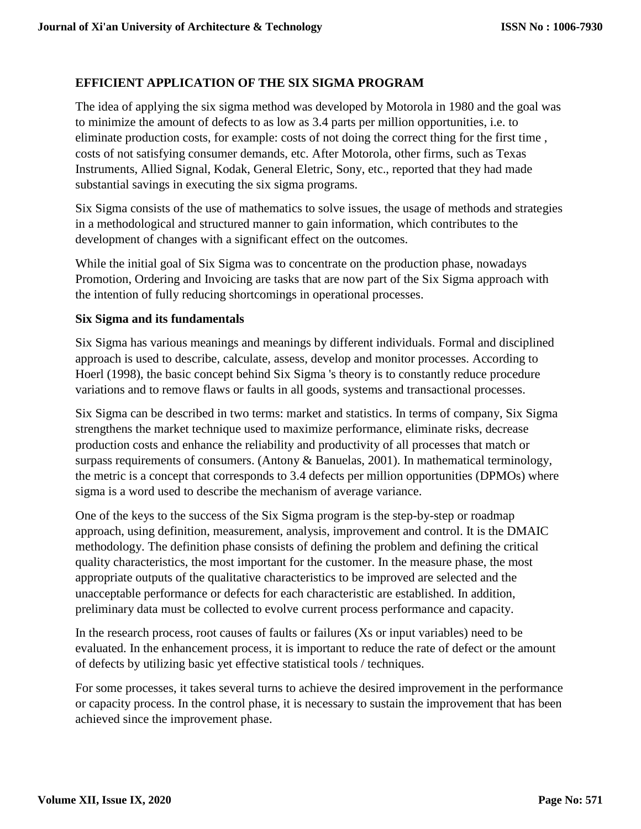## **EFFICIENT APPLICATION OF THE SIX SIGMA PROGRAM**

The idea of applying the six sigma method was developed by Motorola in 1980 and the goal was to minimize the amount of defects to as low as 3.4 parts per million opportunities, i.e. to eliminate production costs, for example: costs of not doing the correct thing for the first time , costs of not satisfying consumer demands, etc. After Motorola, other firms, such as Texas Instruments, Allied Signal, Kodak, General Eletric, Sony, etc., reported that they had made substantial savings in executing the six sigma programs.

Six Sigma consists of the use of mathematics to solve issues, the usage of methods and strategies in a methodological and structured manner to gain information, which contributes to the development of changes with a significant effect on the outcomes.

While the initial goal of Six Sigma was to concentrate on the production phase, nowadays Promotion, Ordering and Invoicing are tasks that are now part of the Six Sigma approach with the intention of fully reducing shortcomings in operational processes.

#### **Six Sigma and its fundamentals**

Six Sigma has various meanings and meanings by different individuals. Formal and disciplined approach is used to describe, calculate, assess, develop and monitor processes. According to Hoerl (1998), the basic concept behind Six Sigma 's theory is to constantly reduce procedure variations and to remove flaws or faults in all goods, systems and transactional processes.

Six Sigma can be described in two terms: market and statistics. In terms of company, Six Sigma strengthens the market technique used to maximize performance, eliminate risks, decrease production costs and enhance the reliability and productivity of all processes that match or surpass requirements of consumers. (Antony & Banuelas, 2001). In mathematical terminology, the metric is a concept that corresponds to 3.4 defects per million opportunities (DPMOs) where sigma is a word used to describe the mechanism of average variance.

One of the keys to the success of the Six Sigma program is the step-by-step or roadmap approach, using definition, measurement, analysis, improvement and control. It is the DMAIC methodology. The definition phase consists of defining the problem and defining the critical quality characteristics, the most important for the customer. In the measure phase, the most appropriate outputs of the qualitative characteristics to be improved are selected and the unacceptable performance or defects for each characteristic are established. In addition, preliminary data must be collected to evolve current process performance and capacity.

In the research process, root causes of faults or failures (Xs or input variables) need to be evaluated. In the enhancement process, it is important to reduce the rate of defect or the amount of defects by utilizing basic yet effective statistical tools / techniques.

For some processes, it takes several turns to achieve the desired improvement in the performance or capacity process. In the control phase, it is necessary to sustain the improvement that has been achieved since the improvement phase.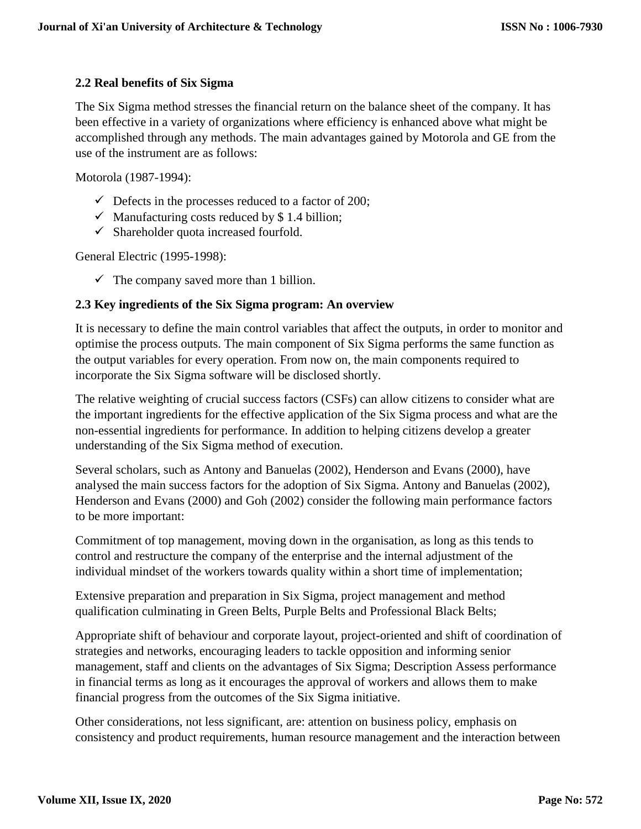### **2.2 Real benefits of Six Sigma**

The Six Sigma method stresses the financial return on the balance sheet of the company. It has been effective in a variety of organizations where efficiency is enhanced above what might be accomplished through any methods. The main advantages gained by Motorola and GE from the use of the instrument are as follows:

Motorola (1987-1994):

- $\checkmark$  Defects in the processes reduced to a factor of 200;
- $\checkmark$  Manufacturing costs reduced by \$1.4 billion;
- $\checkmark$  Shareholder quota increased fourfold.

General Electric (1995-1998):

 $\checkmark$  The company saved more than 1 billion.

#### **2.3 Key ingredients of the Six Sigma program: An overview**

It is necessary to define the main control variables that affect the outputs, in order to monitor and optimise the process outputs. The main component of Six Sigma performs the same function as the output variables for every operation. From now on, the main components required to incorporate the Six Sigma software will be disclosed shortly.

The relative weighting of crucial success factors (CSFs) can allow citizens to consider what are the important ingredients for the effective application of the Six Sigma process and what are the non-essential ingredients for performance. In addition to helping citizens develop a greater understanding of the Six Sigma method of execution.

Several scholars, such as Antony and Banuelas (2002), Henderson and Evans (2000), have analysed the main success factors for the adoption of Six Sigma. Antony and Banuelas (2002), Henderson and Evans (2000) and Goh (2002) consider the following main performance factors to be more important:

Commitment of top management, moving down in the organisation, as long as this tends to control and restructure the company of the enterprise and the internal adjustment of the individual mindset of the workers towards quality within a short time of implementation;

Extensive preparation and preparation in Six Sigma, project management and method qualification culminating in Green Belts, Purple Belts and Professional Black Belts;

Appropriate shift of behaviour and corporate layout, project-oriented and shift of coordination of strategies and networks, encouraging leaders to tackle opposition and informing senior management, staff and clients on the advantages of Six Sigma; Description Assess performance in financial terms as long as it encourages the approval of workers and allows them to make financial progress from the outcomes of the Six Sigma initiative.

Other considerations, not less significant, are: attention on business policy, emphasis on consistency and product requirements, human resource management and the interaction between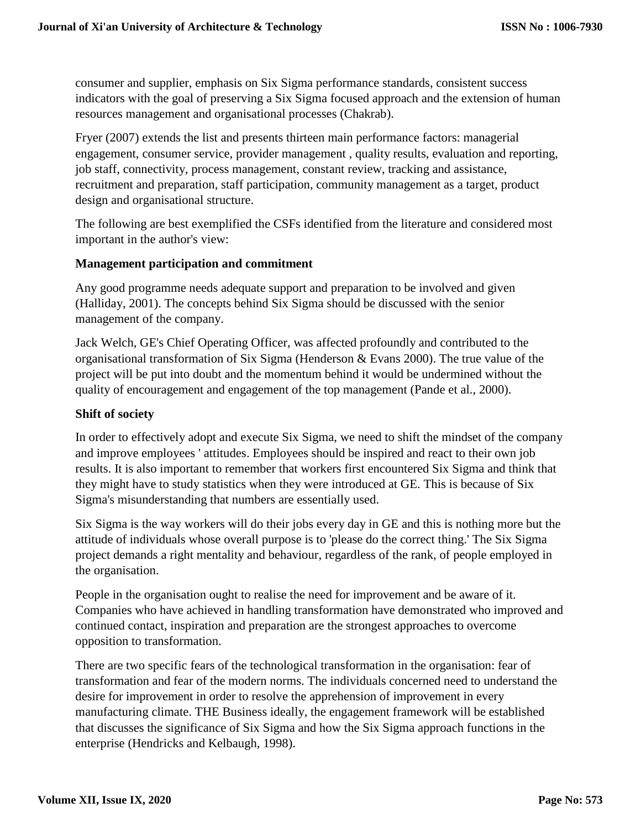consumer and supplier, emphasis on Six Sigma performance standards, consistent success indicators with the goal of preserving a Six Sigma focused approach and the extension of human resources management and organisational processes (Chakrab).

Fryer (2007) extends the list and presents thirteen main performance factors: managerial engagement, consumer service, provider management , quality results, evaluation and reporting, job staff, connectivity, process management, constant review, tracking and assistance, recruitment and preparation, staff participation, community management as a target, product design and organisational structure.

The following are best exemplified the CSFs identified from the literature and considered most important in the author's view:

#### **Management participation and commitment**

Any good programme needs adequate support and preparation to be involved and given (Halliday, 2001). The concepts behind Six Sigma should be discussed with the senior management of the company.

Jack Welch, GE's Chief Operating Officer, was affected profoundly and contributed to the organisational transformation of Six Sigma (Henderson & Evans 2000). The true value of the project will be put into doubt and the momentum behind it would be undermined without the quality of encouragement and engagement of the top management (Pande et al., 2000).

### **Shift of society**

In order to effectively adopt and execute Six Sigma, we need to shift the mindset of the company and improve employees ' attitudes. Employees should be inspired and react to their own job results. It is also important to remember that workers first encountered Six Sigma and think that they might have to study statistics when they were introduced at GE. This is because of Six Sigma's misunderstanding that numbers are essentially used.

Six Sigma is the way workers will do their jobs every day in GE and this is nothing more but the attitude of individuals whose overall purpose is to 'please do the correct thing.' The Six Sigma project demands a right mentality and behaviour, regardless of the rank, of people employed in the organisation.

People in the organisation ought to realise the need for improvement and be aware of it. Companies who have achieved in handling transformation have demonstrated who improved and continued contact, inspiration and preparation are the strongest approaches to overcome opposition to transformation.

There are two specific fears of the technological transformation in the organisation: fear of transformation and fear of the modern norms. The individuals concerned need to understand the desire for improvement in order to resolve the apprehension of improvement in every manufacturing climate. THE Business ideally, the engagement framework will be established that discusses the significance of Six Sigma and how the Six Sigma approach functions in the enterprise (Hendricks and Kelbaugh, 1998).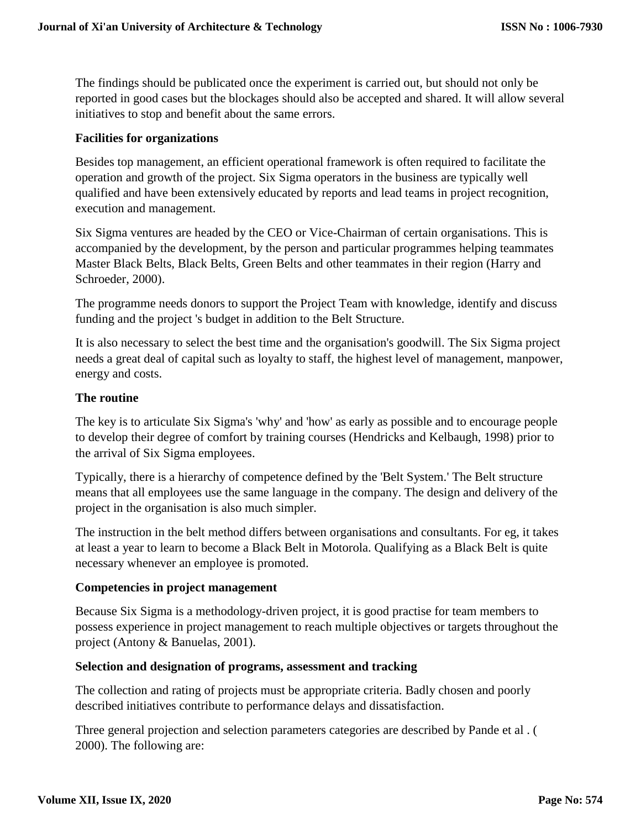The findings should be publicated once the experiment is carried out, but should not only be reported in good cases but the blockages should also be accepted and shared. It will allow several initiatives to stop and benefit about the same errors.

#### **Facilities for organizations**

Besides top management, an efficient operational framework is often required to facilitate the operation and growth of the project. Six Sigma operators in the business are typically well qualified and have been extensively educated by reports and lead teams in project recognition, execution and management.

Six Sigma ventures are headed by the CEO or Vice-Chairman of certain organisations. This is accompanied by the development, by the person and particular programmes helping teammates Master Black Belts, Black Belts, Green Belts and other teammates in their region (Harry and Schroeder, 2000).

The programme needs donors to support the Project Team with knowledge, identify and discuss funding and the project 's budget in addition to the Belt Structure.

It is also necessary to select the best time and the organisation's goodwill. The Six Sigma project needs a great deal of capital such as loyalty to staff, the highest level of management, manpower, energy and costs.

#### **The routine**

The key is to articulate Six Sigma's 'why' and 'how' as early as possible and to encourage people to develop their degree of comfort by training courses (Hendricks and Kelbaugh, 1998) prior to the arrival of Six Sigma employees.

Typically, there is a hierarchy of competence defined by the 'Belt System.' The Belt structure means that all employees use the same language in the company. The design and delivery of the project in the organisation is also much simpler.

The instruction in the belt method differs between organisations and consultants. For eg, it takes at least a year to learn to become a Black Belt in Motorola. Qualifying as a Black Belt is quite necessary whenever an employee is promoted.

## **Competencies in project management**

Because Six Sigma is a methodology-driven project, it is good practise for team members to possess experience in project management to reach multiple objectives or targets throughout the project (Antony & Banuelas, 2001).

#### **Selection and designation of programs, assessment and tracking**

The collection and rating of projects must be appropriate criteria. Badly chosen and poorly described initiatives contribute to performance delays and dissatisfaction.

Three general projection and selection parameters categories are described by Pande et al . ( 2000). The following are: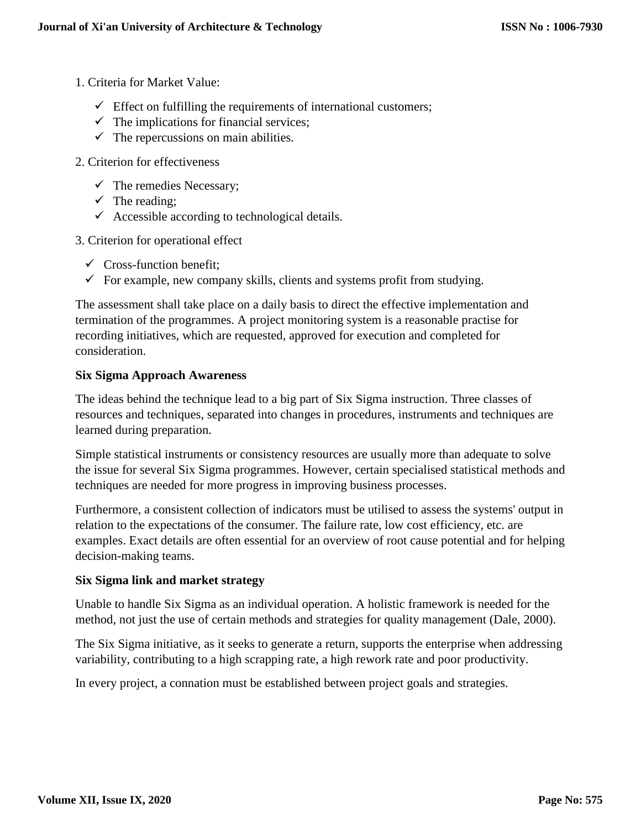- 1. Criteria for Market Value:
	- $\checkmark$  Effect on fulfilling the requirements of international customers;
	- $\checkmark$  The implications for financial services;
	- $\checkmark$  The repercussions on main abilities.
- 2. Criterion for effectiveness
	- $\checkmark$  The remedies Necessary;
	- $\checkmark$  The reading;
	- $\checkmark$  Accessible according to technological details.
- 3. Criterion for operational effect
	- $\checkmark$  Cross-function benefit;
	- $\checkmark$  For example, new company skills, clients and systems profit from studying.

The assessment shall take place on a daily basis to direct the effective implementation and termination of the programmes. A project monitoring system is a reasonable practise for recording initiatives, which are requested, approved for execution and completed for consideration.

#### **Six Sigma Approach Awareness**

The ideas behind the technique lead to a big part of Six Sigma instruction. Three classes of resources and techniques, separated into changes in procedures, instruments and techniques are learned during preparation.

Simple statistical instruments or consistency resources are usually more than adequate to solve the issue for several Six Sigma programmes. However, certain specialised statistical methods and techniques are needed for more progress in improving business processes.

Furthermore, a consistent collection of indicators must be utilised to assess the systems' output in relation to the expectations of the consumer. The failure rate, low cost efficiency, etc. are examples. Exact details are often essential for an overview of root cause potential and for helping decision-making teams.

#### **Six Sigma link and market strategy**

Unable to handle Six Sigma as an individual operation. A holistic framework is needed for the method, not just the use of certain methods and strategies for quality management (Dale, 2000).

The Six Sigma initiative, as it seeks to generate a return, supports the enterprise when addressing variability, contributing to a high scrapping rate, a high rework rate and poor productivity.

In every project, a connation must be established between project goals and strategies.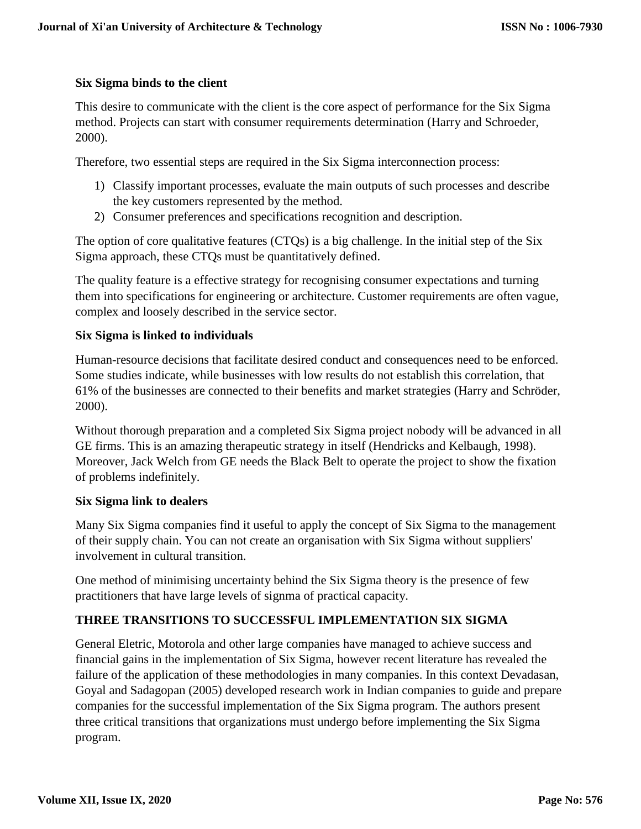### **Six Sigma binds to the client**

This desire to communicate with the client is the core aspect of performance for the Six Sigma method. Projects can start with consumer requirements determination (Harry and Schroeder, 2000).

Therefore, two essential steps are required in the Six Sigma interconnection process:

- 1) Classify important processes, evaluate the main outputs of such processes and describe the key customers represented by the method.
- 2) Consumer preferences and specifications recognition and description.

The option of core qualitative features (CTQs) is a big challenge. In the initial step of the Six Sigma approach, these CTQs must be quantitatively defined.

The quality feature is a effective strategy for recognising consumer expectations and turning them into specifications for engineering or architecture. Customer requirements are often vague, complex and loosely described in the service sector.

### **Six Sigma is linked to individuals**

Human-resource decisions that facilitate desired conduct and consequences need to be enforced. Some studies indicate, while businesses with low results do not establish this correlation, that 61% of the businesses are connected to their benefits and market strategies (Harry and Schröder, 2000).

Without thorough preparation and a completed Six Sigma project nobody will be advanced in all GE firms. This is an amazing therapeutic strategy in itself (Hendricks and Kelbaugh, 1998). Moreover, Jack Welch from GE needs the Black Belt to operate the project to show the fixation of problems indefinitely.

#### **Six Sigma link to dealers**

Many Six Sigma companies find it useful to apply the concept of Six Sigma to the management of their supply chain. You can not create an organisation with Six Sigma without suppliers' involvement in cultural transition.

One method of minimising uncertainty behind the Six Sigma theory is the presence of few practitioners that have large levels of signma of practical capacity.

## **THREE TRANSITIONS TO SUCCESSFUL IMPLEMENTATION SIX SIGMA**

General Eletric, Motorola and other large companies have managed to achieve success and financial gains in the implementation of Six Sigma, however recent literature has revealed the failure of the application of these methodologies in many companies. In this context Devadasan, Goyal and Sadagopan (2005) developed research work in Indian companies to guide and prepare companies for the successful implementation of the Six Sigma program. The authors present three critical transitions that organizations must undergo before implementing the Six Sigma program.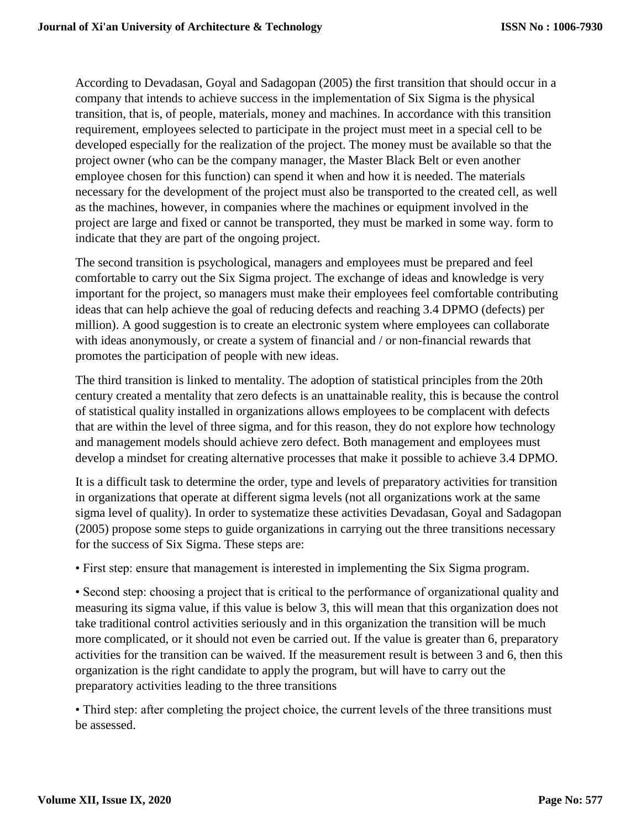According to Devadasan, Goyal and Sadagopan (2005) the first transition that should occur in a company that intends to achieve success in the implementation of Six Sigma is the physical transition, that is, of people, materials, money and machines. In accordance with this transition requirement, employees selected to participate in the project must meet in a special cell to be developed especially for the realization of the project. The money must be available so that the project owner (who can be the company manager, the Master Black Belt or even another employee chosen for this function) can spend it when and how it is needed. The materials necessary for the development of the project must also be transported to the created cell, as well as the machines, however, in companies where the machines or equipment involved in the project are large and fixed or cannot be transported, they must be marked in some way. form to indicate that they are part of the ongoing project.

The second transition is psychological, managers and employees must be prepared and feel comfortable to carry out the Six Sigma project. The exchange of ideas and knowledge is very important for the project, so managers must make their employees feel comfortable contributing ideas that can help achieve the goal of reducing defects and reaching 3.4 DPMO (defects) per million). A good suggestion is to create an electronic system where employees can collaborate with ideas anonymously, or create a system of financial and / or non-financial rewards that promotes the participation of people with new ideas.

The third transition is linked to mentality. The adoption of statistical principles from the 20th century created a mentality that zero defects is an unattainable reality, this is because the control of statistical quality installed in organizations allows employees to be complacent with defects that are within the level of three sigma, and for this reason, they do not explore how technology and management models should achieve zero defect. Both management and employees must develop a mindset for creating alternative processes that make it possible to achieve 3.4 DPMO.

It is a difficult task to determine the order, type and levels of preparatory activities for transition in organizations that operate at different sigma levels (not all organizations work at the same sigma level of quality). In order to systematize these activities Devadasan, Goyal and Sadagopan (2005) propose some steps to guide organizations in carrying out the three transitions necessary for the success of Six Sigma. These steps are:

• First step: ensure that management is interested in implementing the Six Sigma program.

• Second step: choosing a project that is critical to the performance of organizational quality and measuring its sigma value, if this value is below 3, this will mean that this organization does not take traditional control activities seriously and in this organization the transition will be much more complicated, or it should not even be carried out. If the value is greater than 6, preparatory activities for the transition can be waived. If the measurement result is between 3 and 6, then this organization is the right candidate to apply the program, but will have to carry out the preparatory activities leading to the three transitions

• Third step: after completing the project choice, the current levels of the three transitions must be assessed.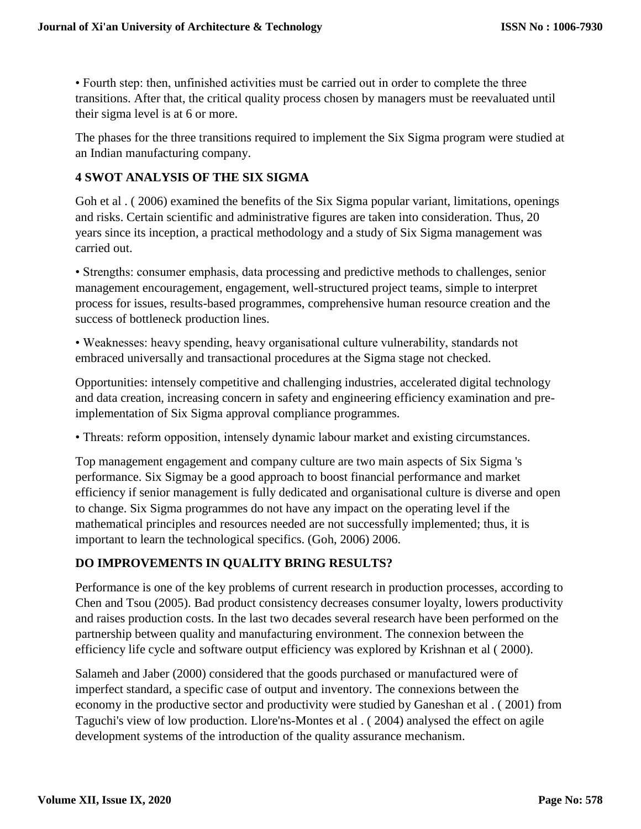• Fourth step: then, unfinished activities must be carried out in order to complete the three transitions. After that, the critical quality process chosen by managers must be reevaluated until their sigma level is at 6 or more.

The phases for the three transitions required to implement the Six Sigma program were studied at an Indian manufacturing company.

### **4 SWOT ANALYSIS OF THE SIX SIGMA**

Goh et al. (2006) examined the benefits of the Six Sigma popular variant, limitations, openings and risks. Certain scientific and administrative figures are taken into consideration. Thus, 20 years since its inception, a practical methodology and a study of Six Sigma management was carried out.

• Strengths: consumer emphasis, data processing and predictive methods to challenges, senior management encouragement, engagement, well-structured project teams, simple to interpret process for issues, results-based programmes, comprehensive human resource creation and the success of bottleneck production lines.

• Weaknesses: heavy spending, heavy organisational culture vulnerability, standards not embraced universally and transactional procedures at the Sigma stage not checked.

Opportunities: intensely competitive and challenging industries, accelerated digital technology and data creation, increasing concern in safety and engineering efficiency examination and preimplementation of Six Sigma approval compliance programmes.

• Threats: reform opposition, intensely dynamic labour market and existing circumstances.

Top management engagement and company culture are two main aspects of Six Sigma 's performance. Six Sigmay be a good approach to boost financial performance and market efficiency if senior management is fully dedicated and organisational culture is diverse and open to change. Six Sigma programmes do not have any impact on the operating level if the mathematical principles and resources needed are not successfully implemented; thus, it is important to learn the technological specifics. (Goh, 2006) 2006.

## **DO IMPROVEMENTS IN QUALITY BRING RESULTS?**

Performance is one of the key problems of current research in production processes, according to Chen and Tsou (2005). Bad product consistency decreases consumer loyalty, lowers productivity and raises production costs. In the last two decades several research have been performed on the partnership between quality and manufacturing environment. The connexion between the efficiency life cycle and software output efficiency was explored by Krishnan et al ( 2000).

Salameh and Jaber (2000) considered that the goods purchased or manufactured were of imperfect standard, a specific case of output and inventory. The connexions between the economy in the productive sector and productivity were studied by Ganeshan et al . ( 2001) from Taguchi's view of low production. Llore'ns-Montes et al . ( 2004) analysed the effect on agile development systems of the introduction of the quality assurance mechanism.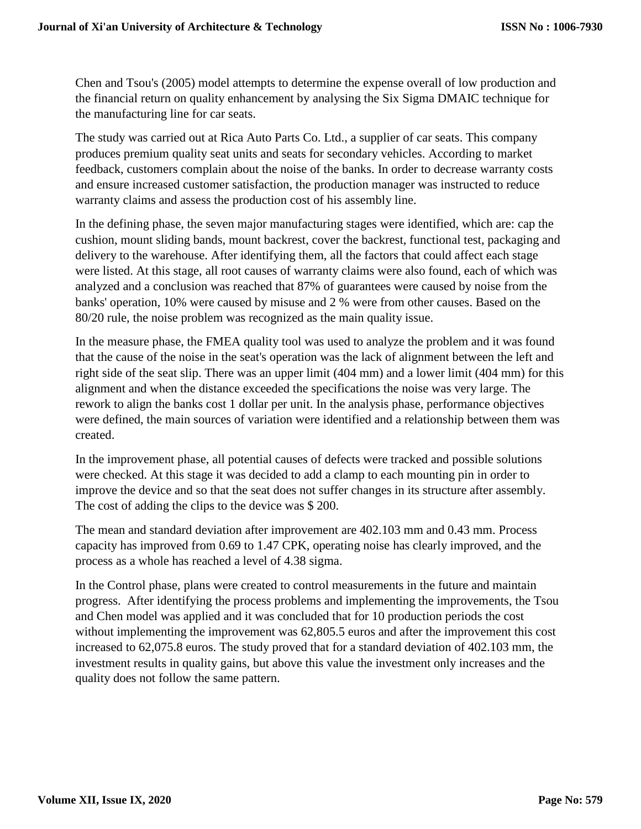Chen and Tsou's (2005) model attempts to determine the expense overall of low production and the financial return on quality enhancement by analysing the Six Sigma DMAIC technique for the manufacturing line for car seats.

The study was carried out at Rica Auto Parts Co. Ltd., a supplier of car seats. This company produces premium quality seat units and seats for secondary vehicles. According to market feedback, customers complain about the noise of the banks. In order to decrease warranty costs and ensure increased customer satisfaction, the production manager was instructed to reduce warranty claims and assess the production cost of his assembly line.

In the defining phase, the seven major manufacturing stages were identified, which are: cap the cushion, mount sliding bands, mount backrest, cover the backrest, functional test, packaging and delivery to the warehouse. After identifying them, all the factors that could affect each stage were listed. At this stage, all root causes of warranty claims were also found, each of which was analyzed and a conclusion was reached that 87% of guarantees were caused by noise from the banks' operation, 10% were caused by misuse and 2 % were from other causes. Based on the 80/20 rule, the noise problem was recognized as the main quality issue.

In the measure phase, the FMEA quality tool was used to analyze the problem and it was found that the cause of the noise in the seat's operation was the lack of alignment between the left and right side of the seat slip. There was an upper limit (404 mm) and a lower limit (404 mm) for this alignment and when the distance exceeded the specifications the noise was very large. The rework to align the banks cost 1 dollar per unit. In the analysis phase, performance objectives were defined, the main sources of variation were identified and a relationship between them was created.

In the improvement phase, all potential causes of defects were tracked and possible solutions were checked. At this stage it was decided to add a clamp to each mounting pin in order to improve the device and so that the seat does not suffer changes in its structure after assembly. The cost of adding the clips to the device was \$ 200.

The mean and standard deviation after improvement are 402.103 mm and 0.43 mm. Process capacity has improved from 0.69 to 1.47 CPK, operating noise has clearly improved, and the process as a whole has reached a level of 4.38 sigma.

In the Control phase, plans were created to control measurements in the future and maintain progress. After identifying the process problems and implementing the improvements, the Tsou and Chen model was applied and it was concluded that for 10 production periods the cost without implementing the improvement was 62,805.5 euros and after the improvement this cost increased to 62,075.8 euros. The study proved that for a standard deviation of 402.103 mm, the investment results in quality gains, but above this value the investment only increases and the quality does not follow the same pattern.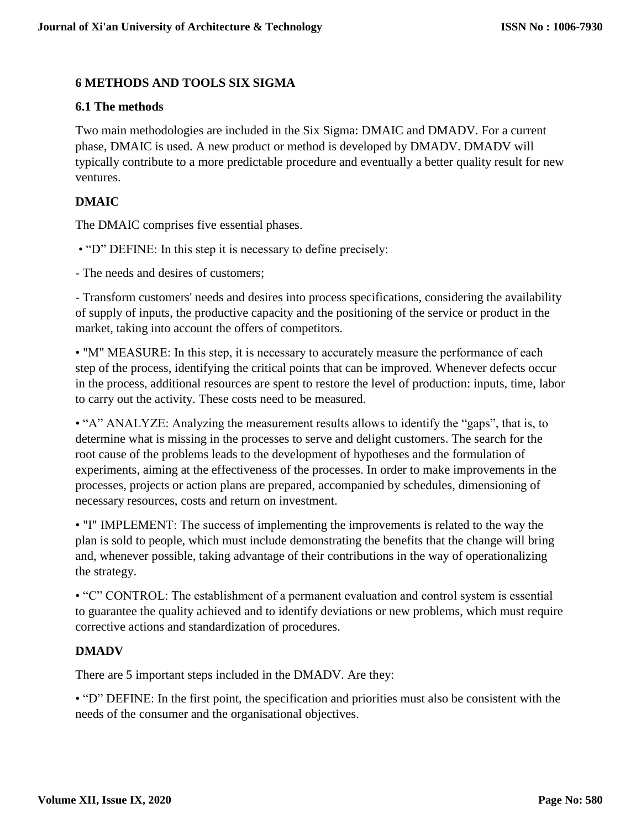# **6 METHODS AND TOOLS SIX SIGMA**

### **6.1 The methods**

Two main methodologies are included in the Six Sigma: DMAIC and DMADV. For a current phase, DMAIC is used. A new product or method is developed by DMADV. DMADV will typically contribute to a more predictable procedure and eventually a better quality result for new ventures.

# **DMAIC**

The DMAIC comprises five essential phases.

• "D" DEFINE: In this step it is necessary to define precisely:

- The needs and desires of customers;

- Transform customers' needs and desires into process specifications, considering the availability of supply of inputs, the productive capacity and the positioning of the service or product in the market, taking into account the offers of competitors.

• "M" MEASURE: In this step, it is necessary to accurately measure the performance of each step of the process, identifying the critical points that can be improved. Whenever defects occur in the process, additional resources are spent to restore the level of production: inputs, time, labor to carry out the activity. These costs need to be measured.

• "A" ANALYZE: Analyzing the measurement results allows to identify the "gaps", that is, to determine what is missing in the processes to serve and delight customers. The search for the root cause of the problems leads to the development of hypotheses and the formulation of experiments, aiming at the effectiveness of the processes. In order to make improvements in the processes, projects or action plans are prepared, accompanied by schedules, dimensioning of necessary resources, costs and return on investment.

• "I" IMPLEMENT: The success of implementing the improvements is related to the way the plan is sold to people, which must include demonstrating the benefits that the change will bring and, whenever possible, taking advantage of their contributions in the way of operationalizing the strategy.

• "C" CONTROL: The establishment of a permanent evaluation and control system is essential to guarantee the quality achieved and to identify deviations or new problems, which must require corrective actions and standardization of procedures.

## **DMADV**

There are 5 important steps included in the DMADV. Are they:

• "D" DEFINE: In the first point, the specification and priorities must also be consistent with the needs of the consumer and the organisational objectives.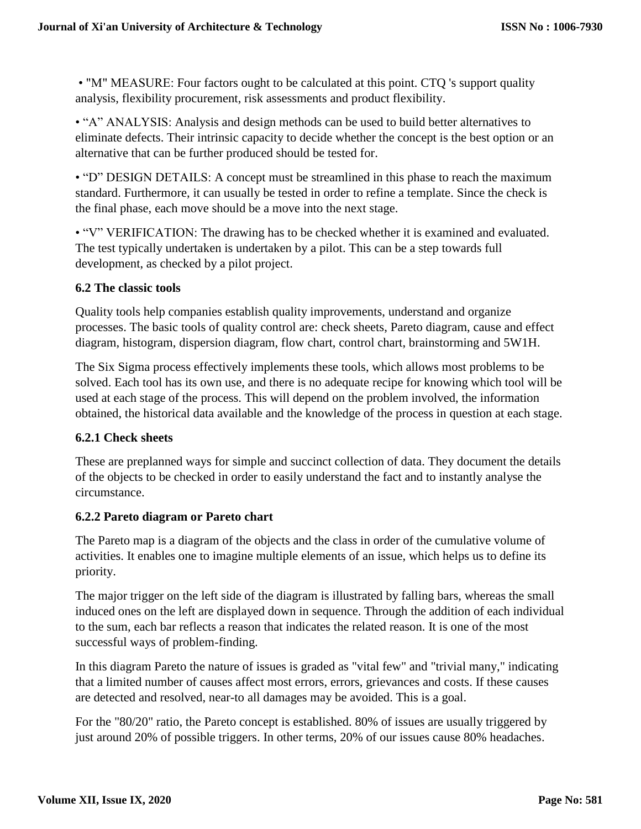• "M" MEASURE: Four factors ought to be calculated at this point. CTQ 's support quality analysis, flexibility procurement, risk assessments and product flexibility.

• "A" ANALYSIS: Analysis and design methods can be used to build better alternatives to eliminate defects. Their intrinsic capacity to decide whether the concept is the best option or an alternative that can be further produced should be tested for.

• "D" DESIGN DETAILS: A concept must be streamlined in this phase to reach the maximum standard. Furthermore, it can usually be tested in order to refine a template. Since the check is the final phase, each move should be a move into the next stage.

• "V" VERIFICATION: The drawing has to be checked whether it is examined and evaluated. The test typically undertaken is undertaken by a pilot. This can be a step towards full development, as checked by a pilot project.

### **6.2 The classic tools**

Quality tools help companies establish quality improvements, understand and organize processes. The basic tools of quality control are: check sheets, Pareto diagram, cause and effect diagram, histogram, dispersion diagram, flow chart, control chart, brainstorming and 5W1H.

The Six Sigma process effectively implements these tools, which allows most problems to be solved. Each tool has its own use, and there is no adequate recipe for knowing which tool will be used at each stage of the process. This will depend on the problem involved, the information obtained, the historical data available and the knowledge of the process in question at each stage.

## **6.2.1 Check sheets**

These are preplanned ways for simple and succinct collection of data. They document the details of the objects to be checked in order to easily understand the fact and to instantly analyse the circumstance.

#### **6.2.2 Pareto diagram or Pareto chart**

The Pareto map is a diagram of the objects and the class in order of the cumulative volume of activities. It enables one to imagine multiple elements of an issue, which helps us to define its priority.

The major trigger on the left side of the diagram is illustrated by falling bars, whereas the small induced ones on the left are displayed down in sequence. Through the addition of each individual to the sum, each bar reflects a reason that indicates the related reason. It is one of the most successful ways of problem-finding.

In this diagram Pareto the nature of issues is graded as "vital few" and "trivial many," indicating that a limited number of causes affect most errors, errors, grievances and costs. If these causes are detected and resolved, near-to all damages may be avoided. This is a goal.

For the "80/20" ratio, the Pareto concept is established. 80% of issues are usually triggered by just around 20% of possible triggers. In other terms, 20% of our issues cause 80% headaches.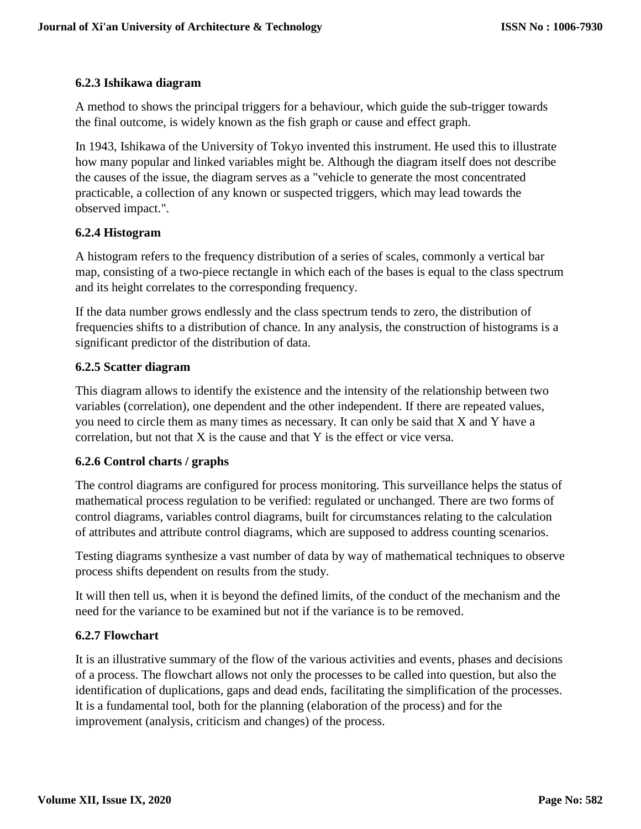# **6.2.3 Ishikawa diagram**

A method to shows the principal triggers for a behaviour, which guide the sub-trigger towards the final outcome, is widely known as the fish graph or cause and effect graph.

In 1943, Ishikawa of the University of Tokyo invented this instrument. He used this to illustrate how many popular and linked variables might be. Although the diagram itself does not describe the causes of the issue, the diagram serves as a "vehicle to generate the most concentrated practicable, a collection of any known or suspected triggers, which may lead towards the observed impact.".

# **6.2.4 Histogram**

A histogram refers to the frequency distribution of a series of scales, commonly a vertical bar map, consisting of a two-piece rectangle in which each of the bases is equal to the class spectrum and its height correlates to the corresponding frequency.

If the data number grows endlessly and the class spectrum tends to zero, the distribution of frequencies shifts to a distribution of chance. In any analysis, the construction of histograms is a significant predictor of the distribution of data.

## **6.2.5 Scatter diagram**

This diagram allows to identify the existence and the intensity of the relationship between two variables (correlation), one dependent and the other independent. If there are repeated values, you need to circle them as many times as necessary. It can only be said that X and Y have a correlation, but not that  $X$  is the cause and that  $Y$  is the effect or vice versa.

## **6.2.6 Control charts / graphs**

The control diagrams are configured for process monitoring. This surveillance helps the status of mathematical process regulation to be verified: regulated or unchanged. There are two forms of control diagrams, variables control diagrams, built for circumstances relating to the calculation of attributes and attribute control diagrams, which are supposed to address counting scenarios.

Testing diagrams synthesize a vast number of data by way of mathematical techniques to observe process shifts dependent on results from the study.

It will then tell us, when it is beyond the defined limits, of the conduct of the mechanism and the need for the variance to be examined but not if the variance is to be removed.

## **6.2.7 Flowchart**

It is an illustrative summary of the flow of the various activities and events, phases and decisions of a process. The flowchart allows not only the processes to be called into question, but also the identification of duplications, gaps and dead ends, facilitating the simplification of the processes. It is a fundamental tool, both for the planning (elaboration of the process) and for the improvement (analysis, criticism and changes) of the process.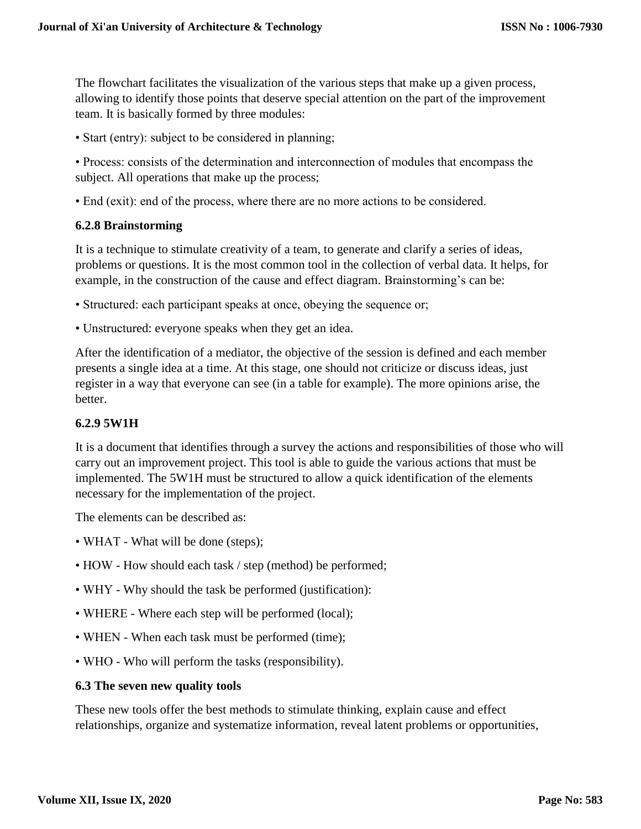The flowchart facilitates the visualization of the various steps that make up a given process, allowing to identify those points that deserve special attention on the part of the improvement team. It is basically formed by three modules:

• Start (entry): subject to be considered in planning;

• Process: consists of the determination and interconnection of modules that encompass the subject. All operations that make up the process;

• End (exit): end of the process, where there are no more actions to be considered.

### **6.2.8 Brainstorming**

It is a technique to stimulate creativity of a team, to generate and clarify a series of ideas, problems or questions. It is the most common tool in the collection of verbal data. It helps, for example, in the construction of the cause and effect diagram. Brainstorming's can be:

- Structured: each participant speaks at once, obeying the sequence or;
- Unstructured: everyone speaks when they get an idea.

After the identification of a mediator, the objective of the session is defined and each member presents a single idea at a time. At this stage, one should not criticize or discuss ideas, just register in a way that everyone can see (in a table for example). The more opinions arise, the better.

#### **6.2.9 5W1H**

It is a document that identifies through a survey the actions and responsibilities of those who will carry out an improvement project. This tool is able to guide the various actions that must be implemented. The 5W1H must be structured to allow a quick identification of the elements necessary for the implementation of the project.

The elements can be described as:

- WHAT What will be done (steps);
- HOW How should each task / step (method) be performed;
- WHY Why should the task be performed (justification):
- WHERE Where each step will be performed (local);
- WHEN When each task must be performed (time);
- WHO Who will perform the tasks (responsibility).

#### **6.3 The seven new quality tools**

These new tools offer the best methods to stimulate thinking, explain cause and effect relationships, organize and systematize information, reveal latent problems or opportunities,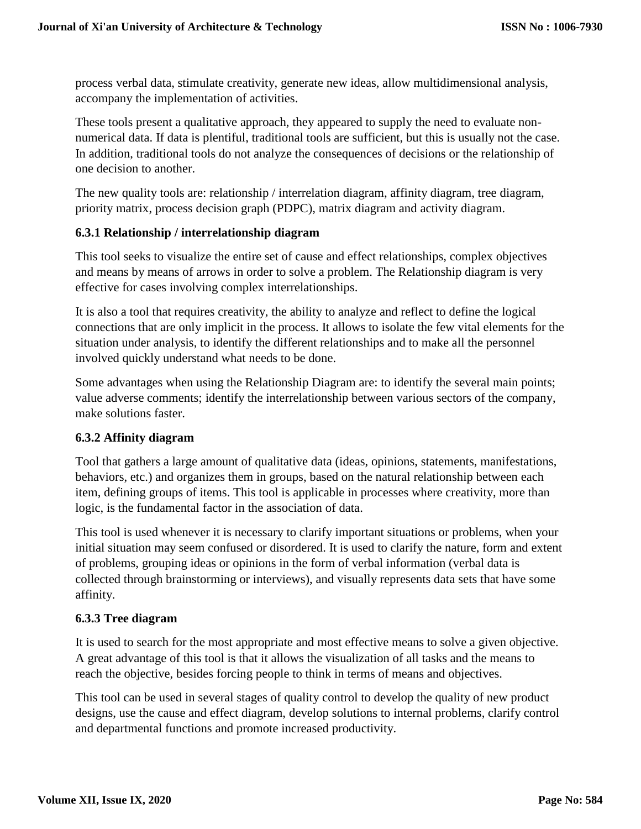process verbal data, stimulate creativity, generate new ideas, allow multidimensional analysis, accompany the implementation of activities.

These tools present a qualitative approach, they appeared to supply the need to evaluate nonnumerical data. If data is plentiful, traditional tools are sufficient, but this is usually not the case. In addition, traditional tools do not analyze the consequences of decisions or the relationship of one decision to another.

The new quality tools are: relationship / interrelation diagram, affinity diagram, tree diagram, priority matrix, process decision graph (PDPC), matrix diagram and activity diagram.

### **6.3.1 Relationship / interrelationship diagram**

This tool seeks to visualize the entire set of cause and effect relationships, complex objectives and means by means of arrows in order to solve a problem. The Relationship diagram is very effective for cases involving complex interrelationships.

It is also a tool that requires creativity, the ability to analyze and reflect to define the logical connections that are only implicit in the process. It allows to isolate the few vital elements for the situation under analysis, to identify the different relationships and to make all the personnel involved quickly understand what needs to be done.

Some advantages when using the Relationship Diagram are: to identify the several main points; value adverse comments; identify the interrelationship between various sectors of the company, make solutions faster.

## **6.3.2 Affinity diagram**

Tool that gathers a large amount of qualitative data (ideas, opinions, statements, manifestations, behaviors, etc.) and organizes them in groups, based on the natural relationship between each item, defining groups of items. This tool is applicable in processes where creativity, more than logic, is the fundamental factor in the association of data.

This tool is used whenever it is necessary to clarify important situations or problems, when your initial situation may seem confused or disordered. It is used to clarify the nature, form and extent of problems, grouping ideas or opinions in the form of verbal information (verbal data is collected through brainstorming or interviews), and visually represents data sets that have some affinity.

## **6.3.3 Tree diagram**

It is used to search for the most appropriate and most effective means to solve a given objective. A great advantage of this tool is that it allows the visualization of all tasks and the means to reach the objective, besides forcing people to think in terms of means and objectives.

This tool can be used in several stages of quality control to develop the quality of new product designs, use the cause and effect diagram, develop solutions to internal problems, clarify control and departmental functions and promote increased productivity.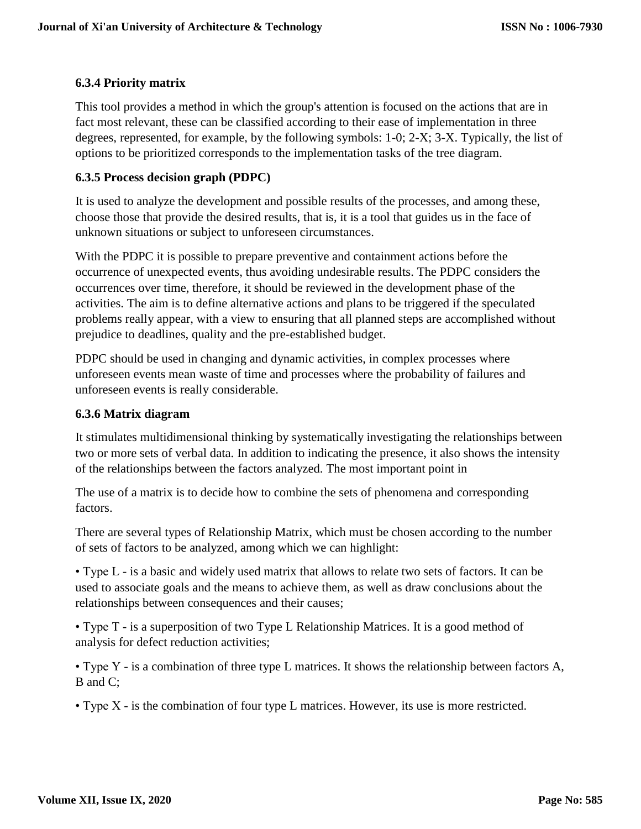# **6.3.4 Priority matrix**

This tool provides a method in which the group's attention is focused on the actions that are in fact most relevant, these can be classified according to their ease of implementation in three degrees, represented, for example, by the following symbols: 1-0; 2-X; 3-X. Typically, the list of options to be prioritized corresponds to the implementation tasks of the tree diagram.

### **6.3.5 Process decision graph (PDPC)**

It is used to analyze the development and possible results of the processes, and among these, choose those that provide the desired results, that is, it is a tool that guides us in the face of unknown situations or subject to unforeseen circumstances.

With the PDPC it is possible to prepare preventive and containment actions before the occurrence of unexpected events, thus avoiding undesirable results. The PDPC considers the occurrences over time, therefore, it should be reviewed in the development phase of the activities. The aim is to define alternative actions and plans to be triggered if the speculated problems really appear, with a view to ensuring that all planned steps are accomplished without prejudice to deadlines, quality and the pre-established budget.

PDPC should be used in changing and dynamic activities, in complex processes where unforeseen events mean waste of time and processes where the probability of failures and unforeseen events is really considerable.

### **6.3.6 Matrix diagram**

It stimulates multidimensional thinking by systematically investigating the relationships between two or more sets of verbal data. In addition to indicating the presence, it also shows the intensity of the relationships between the factors analyzed. The most important point in

The use of a matrix is to decide how to combine the sets of phenomena and corresponding factors.

There are several types of Relationship Matrix, which must be chosen according to the number of sets of factors to be analyzed, among which we can highlight:

• Type L - is a basic and widely used matrix that allows to relate two sets of factors. It can be used to associate goals and the means to achieve them, as well as draw conclusions about the relationships between consequences and their causes;

• Type T - is a superposition of two Type L Relationship Matrices. It is a good method of analysis for defect reduction activities;

• Type Y - is a combination of three type L matrices. It shows the relationship between factors A, B and C;

• Type X - is the combination of four type L matrices. However, its use is more restricted.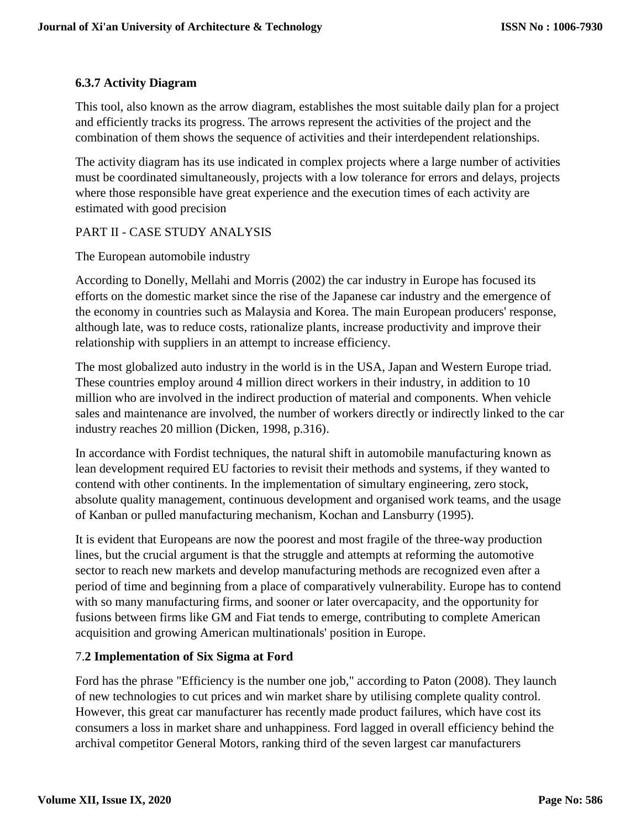# **6.3.7 Activity Diagram**

This tool, also known as the arrow diagram, establishes the most suitable daily plan for a project and efficiently tracks its progress. The arrows represent the activities of the project and the combination of them shows the sequence of activities and their interdependent relationships.

The activity diagram has its use indicated in complex projects where a large number of activities must be coordinated simultaneously, projects with a low tolerance for errors and delays, projects where those responsible have great experience and the execution times of each activity are estimated with good precision

## PART II - CASE STUDY ANALYSIS

The European automobile industry

According to Donelly, Mellahi and Morris (2002) the car industry in Europe has focused its efforts on the domestic market since the rise of the Japanese car industry and the emergence of the economy in countries such as Malaysia and Korea. The main European producers' response, although late, was to reduce costs, rationalize plants, increase productivity and improve their relationship with suppliers in an attempt to increase efficiency.

The most globalized auto industry in the world is in the USA, Japan and Western Europe triad. These countries employ around 4 million direct workers in their industry, in addition to 10 million who are involved in the indirect production of material and components. When vehicle sales and maintenance are involved, the number of workers directly or indirectly linked to the car industry reaches 20 million (Dicken, 1998, p.316).

In accordance with Fordist techniques, the natural shift in automobile manufacturing known as lean development required EU factories to revisit their methods and systems, if they wanted to contend with other continents. In the implementation of simultary engineering, zero stock, absolute quality management, continuous development and organised work teams, and the usage of Kanban or pulled manufacturing mechanism, Kochan and Lansburry (1995).

It is evident that Europeans are now the poorest and most fragile of the three-way production lines, but the crucial argument is that the struggle and attempts at reforming the automotive sector to reach new markets and develop manufacturing methods are recognized even after a period of time and beginning from a place of comparatively vulnerability. Europe has to contend with so many manufacturing firms, and sooner or later overcapacity, and the opportunity for fusions between firms like GM and Fiat tends to emerge, contributing to complete American acquisition and growing American multinationals' position in Europe.

## 7.**2 Implementation of Six Sigma at Ford**

Ford has the phrase "Efficiency is the number one job," according to Paton (2008). They launch of new technologies to cut prices and win market share by utilising complete quality control. However, this great car manufacturer has recently made product failures, which have cost its consumers a loss in market share and unhappiness. Ford lagged in overall efficiency behind the archival competitor General Motors, ranking third of the seven largest car manufacturers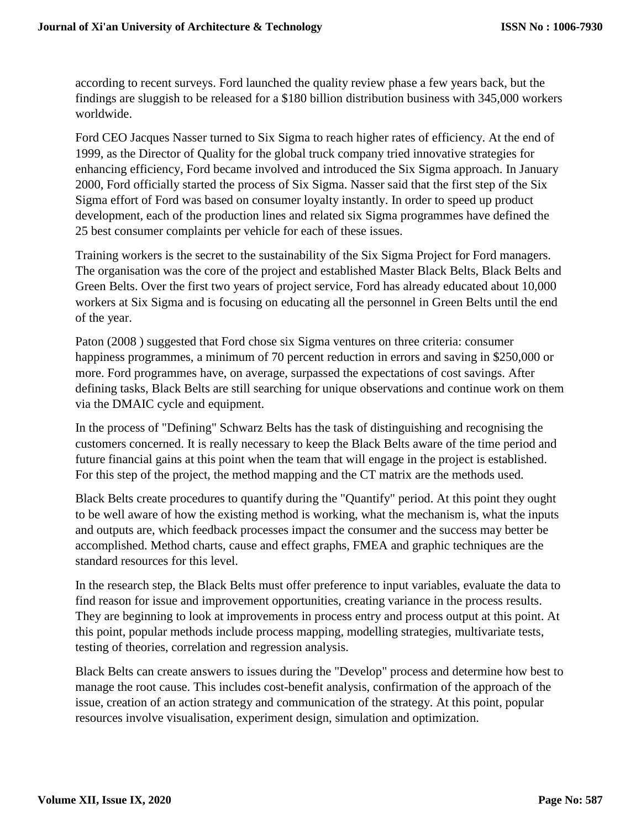according to recent surveys. Ford launched the quality review phase a few years back, but the findings are sluggish to be released for a \$180 billion distribution business with 345,000 workers worldwide.

Ford CEO Jacques Nasser turned to Six Sigma to reach higher rates of efficiency. At the end of 1999, as the Director of Quality for the global truck company tried innovative strategies for enhancing efficiency, Ford became involved and introduced the Six Sigma approach. In January 2000, Ford officially started the process of Six Sigma. Nasser said that the first step of the Six Sigma effort of Ford was based on consumer loyalty instantly. In order to speed up product development, each of the production lines and related six Sigma programmes have defined the 25 best consumer complaints per vehicle for each of these issues.

Training workers is the secret to the sustainability of the Six Sigma Project for Ford managers. The organisation was the core of the project and established Master Black Belts, Black Belts and Green Belts. Over the first two years of project service, Ford has already educated about 10,000 workers at Six Sigma and is focusing on educating all the personnel in Green Belts until the end of the year.

Paton (2008 ) suggested that Ford chose six Sigma ventures on three criteria: consumer happiness programmes, a minimum of 70 percent reduction in errors and saving in \$250,000 or more. Ford programmes have, on average, surpassed the expectations of cost savings. After defining tasks, Black Belts are still searching for unique observations and continue work on them via the DMAIC cycle and equipment.

In the process of "Defining" Schwarz Belts has the task of distinguishing and recognising the customers concerned. It is really necessary to keep the Black Belts aware of the time period and future financial gains at this point when the team that will engage in the project is established. For this step of the project, the method mapping and the CT matrix are the methods used.

Black Belts create procedures to quantify during the "Quantify" period. At this point they ought to be well aware of how the existing method is working, what the mechanism is, what the inputs and outputs are, which feedback processes impact the consumer and the success may better be accomplished. Method charts, cause and effect graphs, FMEA and graphic techniques are the standard resources for this level.

In the research step, the Black Belts must offer preference to input variables, evaluate the data to find reason for issue and improvement opportunities, creating variance in the process results. They are beginning to look at improvements in process entry and process output at this point. At this point, popular methods include process mapping, modelling strategies, multivariate tests, testing of theories, correlation and regression analysis.

Black Belts can create answers to issues during the "Develop" process and determine how best to manage the root cause. This includes cost-benefit analysis, confirmation of the approach of the issue, creation of an action strategy and communication of the strategy. At this point, popular resources involve visualisation, experiment design, simulation and optimization.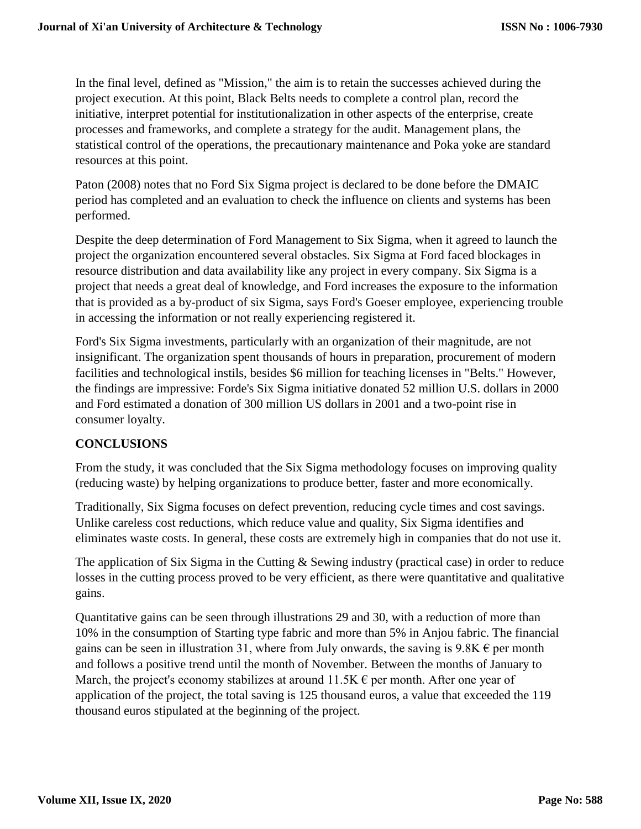In the final level, defined as "Mission," the aim is to retain the successes achieved during the project execution. At this point, Black Belts needs to complete a control plan, record the initiative, interpret potential for institutionalization in other aspects of the enterprise, create processes and frameworks, and complete a strategy for the audit. Management plans, the statistical control of the operations, the precautionary maintenance and Poka yoke are standard resources at this point.

Paton (2008) notes that no Ford Six Sigma project is declared to be done before the DMAIC period has completed and an evaluation to check the influence on clients and systems has been performed.

Despite the deep determination of Ford Management to Six Sigma, when it agreed to launch the project the organization encountered several obstacles. Six Sigma at Ford faced blockages in resource distribution and data availability like any project in every company. Six Sigma is a project that needs a great deal of knowledge, and Ford increases the exposure to the information that is provided as a by-product of six Sigma, says Ford's Goeser employee, experiencing trouble in accessing the information or not really experiencing registered it.

Ford's Six Sigma investments, particularly with an organization of their magnitude, are not insignificant. The organization spent thousands of hours in preparation, procurement of modern facilities and technological instils, besides \$6 million for teaching licenses in "Belts." However, the findings are impressive: Forde's Six Sigma initiative donated 52 million U.S. dollars in 2000 and Ford estimated a donation of 300 million US dollars in 2001 and a two-point rise in consumer loyalty.

## **CONCLUSIONS**

From the study, it was concluded that the Six Sigma methodology focuses on improving quality (reducing waste) by helping organizations to produce better, faster and more economically.

Traditionally, Six Sigma focuses on defect prevention, reducing cycle times and cost savings. Unlike careless cost reductions, which reduce value and quality, Six Sigma identifies and eliminates waste costs. In general, these costs are extremely high in companies that do not use it.

The application of Six Sigma in the Cutting & Sewing industry (practical case) in order to reduce losses in the cutting process proved to be very efficient, as there were quantitative and qualitative gains.

Quantitative gains can be seen through illustrations 29 and 30, with a reduction of more than 10% in the consumption of Starting type fabric and more than 5% in Anjou fabric. The financial gains can be seen in illustration 31, where from July onwards, the saving is  $9.8K \in$  per month and follows a positive trend until the month of November. Between the months of January to March, the project's economy stabilizes at around  $11.5K \epsilon$  per month. After one year of application of the project, the total saving is 125 thousand euros, a value that exceeded the 119 thousand euros stipulated at the beginning of the project.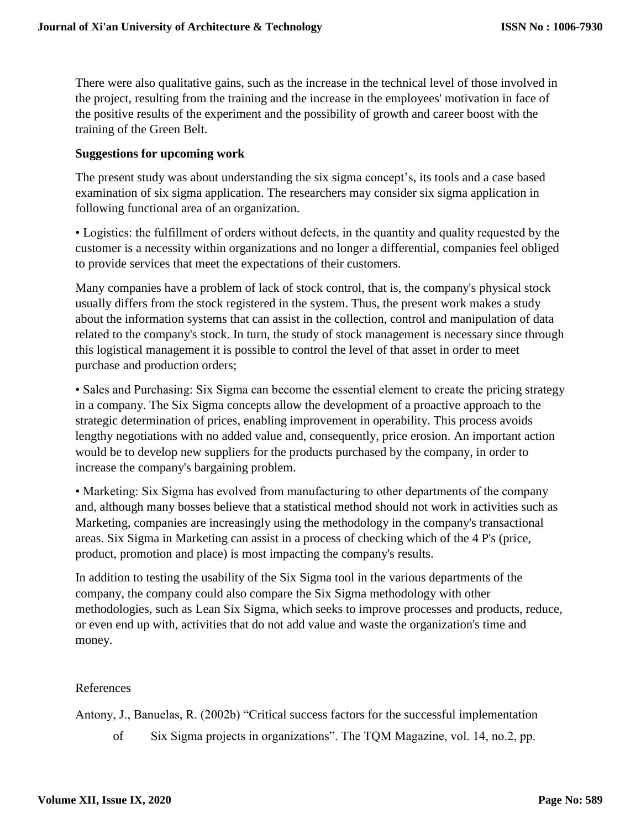There were also qualitative gains, such as the increase in the technical level of those involved in the project, resulting from the training and the increase in the employees' motivation in face of the positive results of the experiment and the possibility of growth and career boost with the training of the Green Belt.

#### **Suggestions for upcoming work**

The present study was about understanding the six sigma concept's, its tools and a case based examination of six sigma application. The researchers may consider six sigma application in following functional area of an organization.

• Logistics: the fulfillment of orders without defects, in the quantity and quality requested by the customer is a necessity within organizations and no longer a differential, companies feel obliged to provide services that meet the expectations of their customers.

Many companies have a problem of lack of stock control, that is, the company's physical stock usually differs from the stock registered in the system. Thus, the present work makes a study about the information systems that can assist in the collection, control and manipulation of data related to the company's stock. In turn, the study of stock management is necessary since through this logistical management it is possible to control the level of that asset in order to meet purchase and production orders;

• Sales and Purchasing: Six Sigma can become the essential element to create the pricing strategy in a company. The Six Sigma concepts allow the development of a proactive approach to the strategic determination of prices, enabling improvement in operability. This process avoids lengthy negotiations with no added value and, consequently, price erosion. An important action would be to develop new suppliers for the products purchased by the company, in order to increase the company's bargaining problem.

• Marketing: Six Sigma has evolved from manufacturing to other departments of the company and, although many bosses believe that a statistical method should not work in activities such as Marketing, companies are increasingly using the methodology in the company's transactional areas. Six Sigma in Marketing can assist in a process of checking which of the 4 P's (price, product, promotion and place) is most impacting the company's results.

In addition to testing the usability of the Six Sigma tool in the various departments of the company, the company could also compare the Six Sigma methodology with other methodologies, such as Lean Six Sigma, which seeks to improve processes and products, reduce, or even end up with, activities that do not add value and waste the organization's time and money.

#### References

Antony, J., Banuelas, R. (2002b) "Critical success factors for the successful implementation

of Six Sigma projects in organizations". The TQM Magazine, vol. 14, no.2, pp.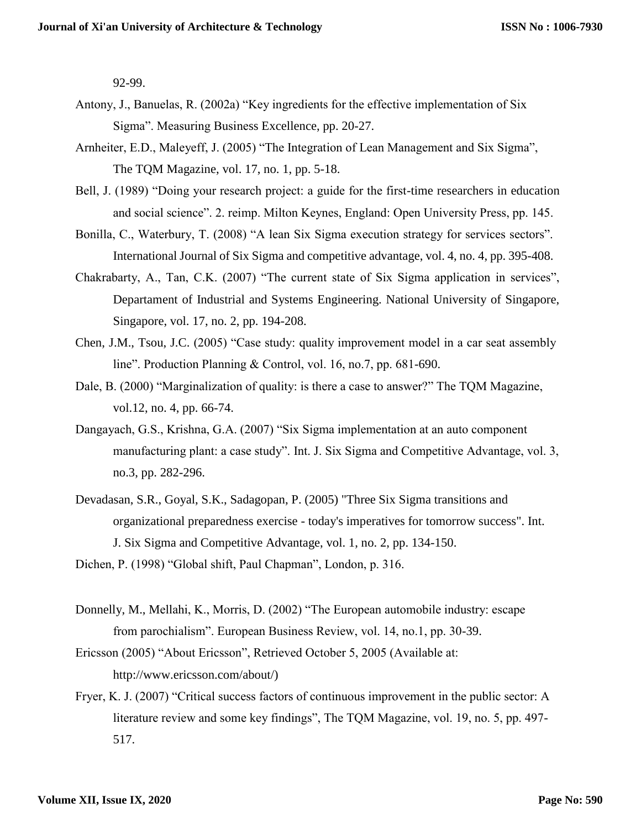92-99.

- Antony, J., Banuelas, R. (2002a) "Key ingredients for the effective implementation of Six Sigma". Measuring Business Excellence, pp. 20-27.
- Arnheiter, E.D., Maleyeff, J. (2005) "The Integration of Lean Management and Six Sigma", The TQM Magazine, vol. 17, no. 1, pp. 5-18.
- Bell, J. (1989) "Doing your research project: a guide for the first-time researchers in education and social science". 2. reimp. Milton Keynes, England: Open University Press, pp. 145.
- Bonilla, C., Waterbury, T. (2008) "A lean Six Sigma execution strategy for services sectors". International Journal of Six Sigma and competitive advantage, vol. 4, no. 4, pp. 395-408.
- Chakrabarty, A., Tan, C.K. (2007) "The current state of Six Sigma application in services", Departament of Industrial and Systems Engineering. National University of Singapore, Singapore, vol. 17, no. 2, pp. 194-208.
- Chen, J.M., Tsou, J.C. (2005) "Case study: quality improvement model in a car seat assembly line". Production Planning & Control, vol. 16, no.7, pp. 681-690.
- Dale, B. (2000) "Marginalization of quality: is there a case to answer?" The TQM Magazine, vol.12, no. 4, pp. 66-74.
- Dangayach, G.S., Krishna, G.A. (2007) "Six Sigma implementation at an auto component manufacturing plant: a case study". Int. J. Six Sigma and Competitive Advantage, vol. 3, no.3, pp. 282-296.
- Devadasan, S.R., Goyal, S.K., Sadagopan, P. (2005) "Three Six Sigma transitions and organizational preparedness exercise - today's imperatives for tomorrow success". Int. J. Six Sigma and Competitive Advantage, vol. 1, no. 2, pp. 134-150.

Dichen, P. (1998) "Global shift, Paul Chapman", London, p. 316.

- Donnelly, M., Mellahi, K., Morris, D. (2002) "The European automobile industry: escape from parochialism". European Business Review, vol. 14, no.1, pp. 30-39.
- Ericsson (2005) "About Ericsson", Retrieved October 5, 2005 (Available at[:](http://www.ericsson.com/about/)) [http://www.ericsson.com/about/\)](http://www.ericsson.com/about/))
- Fryer, K. J. (2007) "Critical success factors of continuous improvement in the public sector: A literature review and some key findings", The TQM Magazine, vol. 19, no. 5, pp. 497- 517.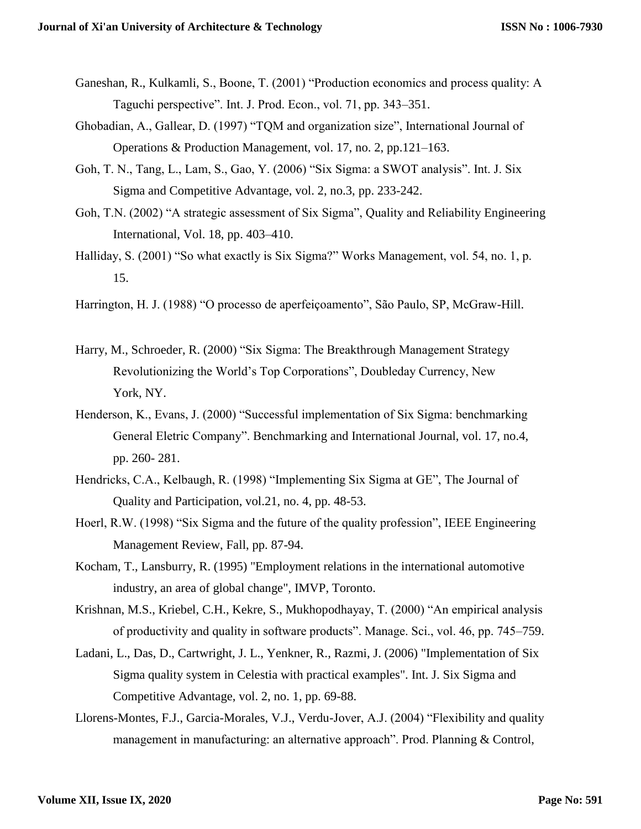- Ganeshan, R., Kulkamli, S., Boone, T. (2001) "Production economics and process quality: A Taguchi perspective". Int. J. Prod. Econ., vol. 71, pp. 343–351.
- Ghobadian, A., Gallear, D. (1997) "TQM and organization size", International Journal of Operations & Production Management, vol. 17, no. 2, pp.121–163.
- Goh, T. N., Tang, L., Lam, S., Gao, Y. (2006) "Six Sigma: a SWOT analysis". Int. J. Six Sigma and Competitive Advantage, vol. 2, no.3, pp. 233-242.
- Goh, T.N. (2002) "A strategic assessment of Six Sigma", Quality and Reliability Engineering International, Vol. 18, pp. 403–410.
- Halliday, S. (2001) "So what exactly is Six Sigma?" Works Management, vol. 54, no. 1, p. 15.
- Harrington, H. J. (1988) "O processo de aperfeiçoamento", São Paulo, SP, McGraw-Hill.
- Harry, M., Schroeder, R. (2000) "Six Sigma: The Breakthrough Management Strategy Revolutionizing the World's Top Corporations", Doubleday Currency, New York, NY.
- Henderson, K., Evans, J. (2000) "Successful implementation of Six Sigma: benchmarking General Eletric Company". Benchmarking and International Journal, vol. 17, no.4, pp. 260- 281.
- Hendricks, C.A., Kelbaugh, R. (1998) "Implementing Six Sigma at GE", The Journal of Quality and Participation, vol.21, no. 4, pp. 48-53.
- Hoerl, R.W. (1998) "Six Sigma and the future of the quality profession", IEEE Engineering Management Review, Fall, pp. 87-94.
- Kocham, T., Lansburry, R. (1995) "Employment relations in the international automotive industry, an area of global change", IMVP, Toronto.
- Krishnan, M.S., Kriebel, C.H., Kekre, S., Mukhopodhayay, T. (2000) "An empirical analysis of productivity and quality in software products". Manage. Sci., vol. 46, pp. 745–759.
- Ladani, L., Das, D., Cartwright, J. L., Yenkner, R., Razmi, J. (2006) "Implementation of Six Sigma quality system in Celestia with practical examples". Int. J. Six Sigma and Competitive Advantage, vol. 2, no. 1, pp. 69-88.
- Llorens-Montes, F.J., Garcia-Morales, V.J., Verdu-Jover, A.J. (2004) "Flexibility and quality management in manufacturing: an alternative approach". Prod. Planning & Control,